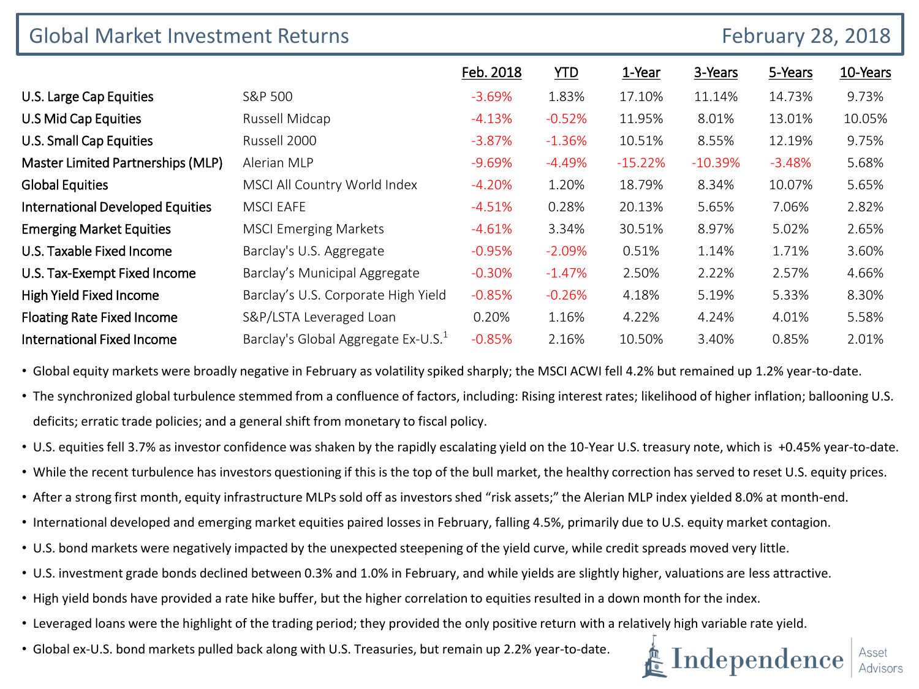| <b>Global Market Investment Returns</b> |                                                 |           |            | <b>February 28, 2018</b> |            |          |          |  |
|-----------------------------------------|-------------------------------------------------|-----------|------------|--------------------------|------------|----------|----------|--|
|                                         |                                                 | Feb. 2018 | <b>YTD</b> | 1-Year                   | 3-Years    | 5-Years  | 10-Years |  |
| U.S. Large Cap Equities                 | S&P 500                                         | $-3.69\%$ | 1.83%      | 17.10%                   | 11.14%     | 14.73%   | 9.73%    |  |
| U.S Mid Cap Equities                    | Russell Midcap                                  | $-4.13%$  | $-0.52%$   | 11.95%                   | 8.01%      | 13.01%   | 10.05%   |  |
| U.S. Small Cap Equities                 | Russell 2000                                    | $-3.87%$  | $-1.36%$   | 10.51%                   | 8.55%      | 12.19%   | 9.75%    |  |
| Master Limited Partnerships (MLP)       | Alerian MLP                                     | $-9.69\%$ | $-4.49\%$  | $-15.22%$                | $-10.39\%$ | $-3.48%$ | 5.68%    |  |
| <b>Global Equities</b>                  | MSCI All Country World Index                    | $-4.20%$  | 1.20%      | 18.79%                   | 8.34%      | 10.07%   | 5.65%    |  |
| <b>International Developed Equities</b> | <b>MSCI EAFE</b>                                | $-4.51%$  | 0.28%      | 20.13%                   | 5.65%      | 7.06%    | 2.82%    |  |
| <b>Emerging Market Equities</b>         | <b>MSCI Emerging Markets</b>                    | $-4.61%$  | 3.34%      | 30.51%                   | 8.97%      | 5.02%    | 2.65%    |  |
| U.S. Taxable Fixed Income               | Barclay's U.S. Aggregate                        | $-0.95%$  | $-2.09%$   | 0.51%                    | 1.14%      | 1.71%    | 3.60%    |  |
| U.S. Tax-Exempt Fixed Income            | Barclay's Municipal Aggregate                   | $-0.30%$  | $-1.47%$   | 2.50%                    | 2.22%      | 2.57%    | 4.66%    |  |
| <b>High Yield Fixed Income</b>          | Barclay's U.S. Corporate High Yield             | $-0.85%$  | $-0.26%$   | 4.18%                    | 5.19%      | 5.33%    | 8.30%    |  |
| <b>Floating Rate Fixed Income</b>       | S&P/LSTA Leveraged Loan                         | 0.20%     | 1.16%      | 4.22%                    | 4.24%      | 4.01%    | 5.58%    |  |
| <b>International Fixed Income</b>       | Barclay's Global Aggregate Ex-U.S. <sup>1</sup> | $-0.85%$  | 2.16%      | 10.50%                   | 3.40%      | 0.85%    | 2.01%    |  |

• Global equity markets were broadly negative in February as volatility spiked sharply; the MSCI ACWI fell 4.2% but remained up 1.2% year-to-date.

- The synchronized global turbulence stemmed from a confluence of factors, including: Rising interest rates; likelihood of higher inflation; ballooning U.S. deficits; erratic trade policies; and a general shift from monetary to fiscal policy.
- U.S. equities fell 3.7% as investor confidence was shaken by the rapidly escalating yield on the 10-Year U.S. treasury note, which is +0.45% year-to-date.
- While the recent turbulence has investors questioning if this is the top of the bull market, the healthy correction has served to reset U.S. equity prices.
- After a strong first month, equity infrastructure MLPs sold off as investors shed "risk assets;" the Alerian MLP index yielded 8.0% at month-end.
- International developed and emerging market equities paired losses in February, falling 4.5%, primarily due to U.S. equity market contagion.
- U.S. bond markets were negatively impacted by the unexpected steepening of the yield curve, while credit spreads moved very little.
- U.S. investment grade bonds declined between 0.3% and 1.0% in February, and while yields are slightly higher, valuations are less attractive.
- High yield bonds have provided a rate hike buffer, but the higher correlation to equities resulted in a down month for the index.
- Leveraged loans were the highlight of the trading period; they provided the only positive return with a relatively high variable rate yield.
- Global ex-U.S. bond markets pulled back along with U.S. Treasuries, but remain up 2.2% year-to-date.